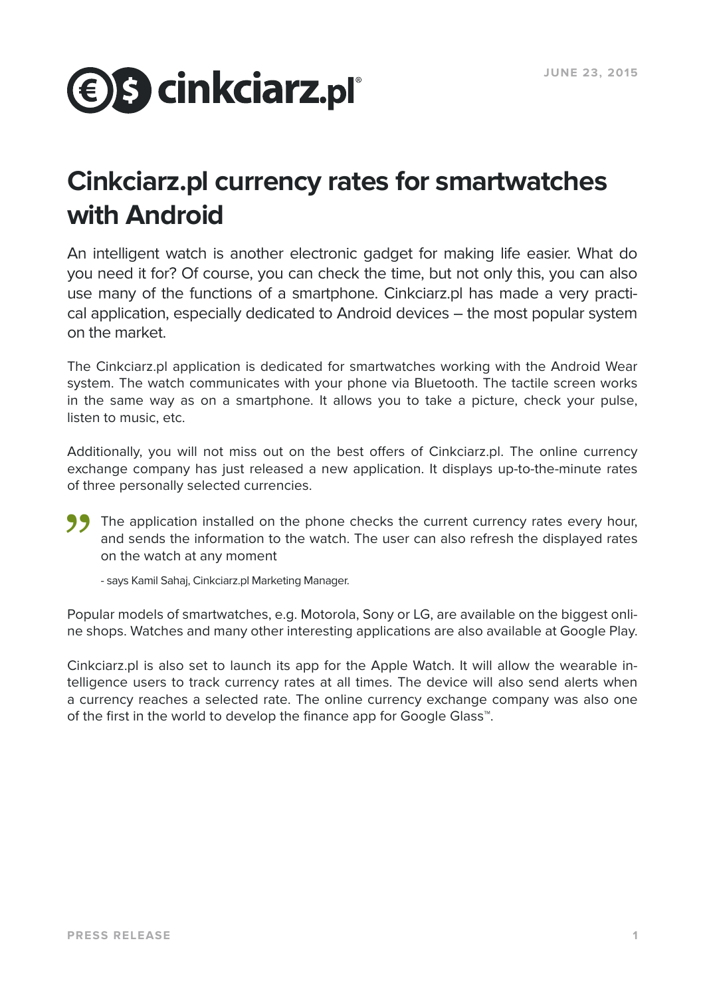## **€ S cinkciarz.pl**°

## **Cinkciarz.pl currency rates for smartwatches with Android**

An intelligent watch is another electronic gadget for making life easier. What do you need it for? Of course, you can check the time, but not only this, you can also use many of the functions of a smartphone. Cinkciarz.pl has made a very practical application, especially dedicated to Android devices – the most popular system on the market.

The Cinkciarz.pl application is dedicated for smartwatches working with the Android Wear system. The watch communicates with your phone via Bluetooth. The tactile screen works in the same way as on a smartphone. It allows you to take a picture, check your pulse, listen to music, etc.

Additionally, you will not miss out on the best offers of Cinkciarz.pl. The online currency exchange company has just released a new application. It displays up-to-the-minute rates of three personally selected currencies.

The application installed on the phone checks the current currency rates every hour, and sends the information to the watch. The user can also refresh the displayed rates on the watch at any moment  $^{\rm ext}$  of th

- says Kamil Sahaj, Cinkciarz.pl Marketing Manager.

Popular models of smartwatches, e.g. Motorola, Sony or LG, are available on the biggest online shops. Watches and many other interesting applications are also available at Google Play.

Cinkciarz.pl is also set to launch its app for the Apple Watch. It will allow the wearable intelligence users to track currency rates at all times. The device will also send alerts when a currency reaches a selected rate. The online currency exchange company was also one of the first in the world to develop the finance app for Google Glass™.